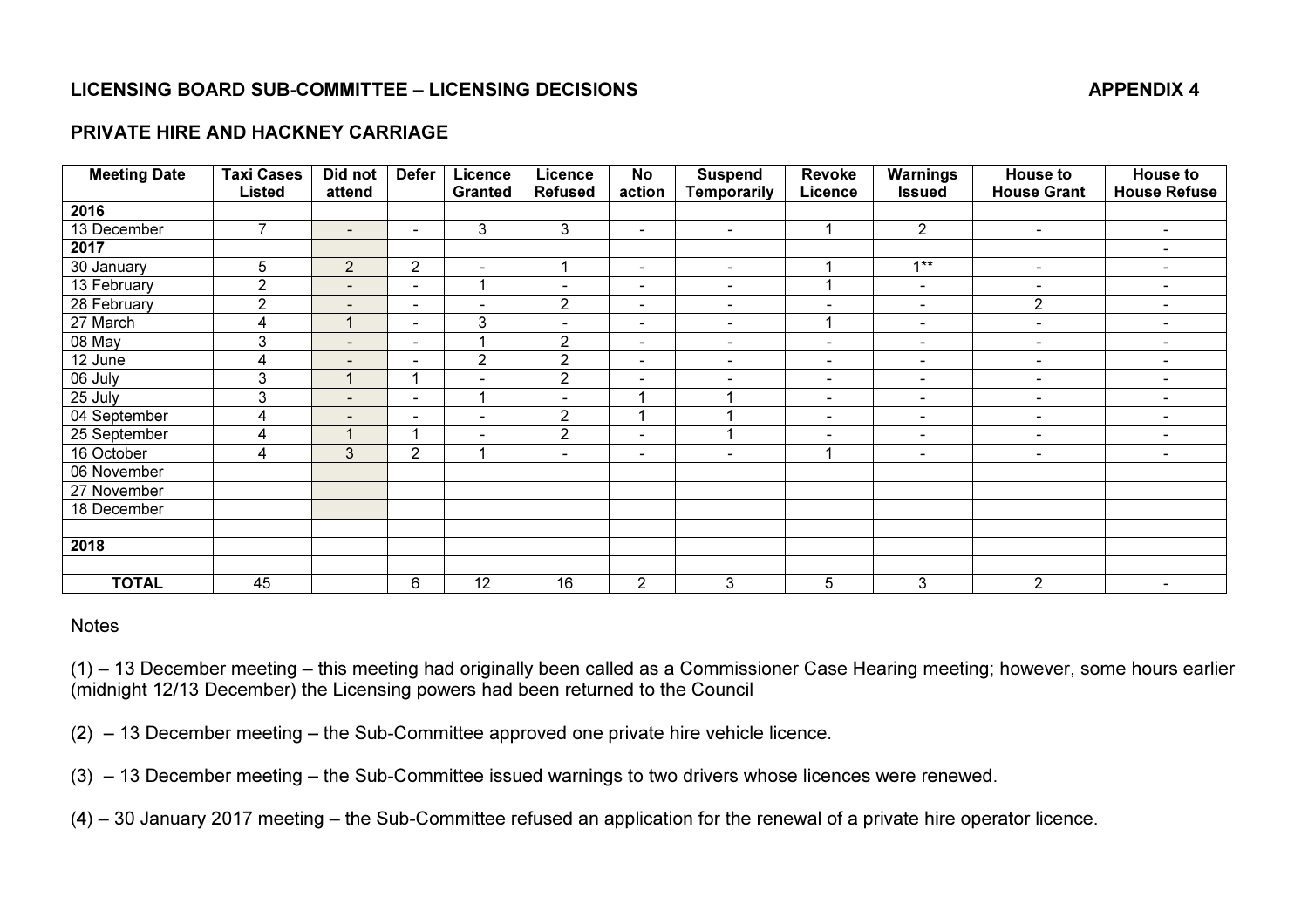# LICENSING BOARD SUB-COMMITTEE – LICENSING DECISIONS APPENDIX 4

### PRIVATE HIRE AND HACKNEY CARRIAGE

| <b>Meeting Date</b> | <b>Taxi Cases</b> | Did not                    | <b>Defer</b>             | Licence                  | <b>Licence</b>           | <b>No</b>                | <b>Suspend</b>           | <b>Revoke</b>            | <b>Warnings</b>          | <b>House to</b>          | <b>House to</b>              |
|---------------------|-------------------|----------------------------|--------------------------|--------------------------|--------------------------|--------------------------|--------------------------|--------------------------|--------------------------|--------------------------|------------------------------|
|                     | Listed            | attend                     |                          | <b>Granted</b>           | <b>Refused</b>           | action                   | <b>Temporarily</b>       | Licence                  | <b>Issued</b>            | <b>House Grant</b>       | <b>House Refuse</b>          |
| 2016                |                   |                            |                          |                          |                          |                          |                          |                          |                          |                          |                              |
| 13 December         | $\overline{7}$    | $\blacksquare$             | $\overline{\phantom{a}}$ | 3                        | $\mathfrak{Z}$           | $\overline{\phantom{a}}$ | $\sim$                   |                          | $\overline{2}$           | $\blacksquare$           | $\sim$                       |
| 2017                |                   |                            |                          |                          |                          |                          |                          |                          |                          |                          | $\blacksquare$               |
| 30 January          | 5                 | $\overline{2}$             | $\overline{2}$           | $\overline{\phantom{a}}$ |                          | $\overline{\phantom{a}}$ | $\blacksquare$           |                          | $1**$                    | $\overline{\phantom{a}}$ | $\blacksquare$               |
| 13 February         | $\overline{2}$    | $\sim$                     | $\overline{\phantom{a}}$ |                          | $\overline{\phantom{0}}$ | $\overline{\phantom{0}}$ | $\blacksquare$           |                          | $\blacksquare$           | $\overline{\phantom{a}}$ | $\qquad \qquad \blacksquare$ |
| 28 February         | $\mathbf{2}$      | $\blacksquare$             | $\overline{\phantom{a}}$ | $\overline{\phantom{0}}$ | $\overline{2}$           | $\blacksquare$           | $\blacksquare$           | $\blacksquare$           | $\blacksquare$           | $\overline{2}$           | $\blacksquare$               |
| 27 March            | 4                 |                            | $\overline{\phantom{a}}$ | 3                        | $\blacksquare$           | $\blacksquare$           | $\blacksquare$           |                          | $\blacksquare$           | $\blacksquare$           | $\blacksquare$               |
| 08 May              | 3                 | $\blacksquare$             | $\blacksquare$           |                          | $\overline{2}$           | $\blacksquare$           | $\blacksquare$           | $\blacksquare$           | $\blacksquare$           | $\blacksquare$           | $\blacksquare$               |
| 12 June             | 4                 | $\overline{\phantom{a}}$   | $\qquad \qquad$          | $\overline{2}$           | $\overline{2}$           | $\overline{\phantom{a}}$ | $\overline{\phantom{a}}$ | $\blacksquare$           | $\sim$                   | $\overline{\phantom{a}}$ | $\overline{\phantom{a}}$     |
| 06 July             | 3                 |                            |                          |                          | $\overline{2}$           | $\blacksquare$           |                          | $\overline{\phantom{a}}$ | $\overline{\phantom{a}}$ | $\overline{\phantom{a}}$ | $\overline{\phantom{a}}$     |
| 25 July             | 3                 | $\overline{\phantom{a}}$   | $\overline{\phantom{a}}$ |                          | $\overline{\phantom{a}}$ |                          |                          | $\overline{\phantom{a}}$ | $\overline{\phantom{a}}$ | $\blacksquare$           | $\blacksquare$               |
| 04 September        | 4                 | $\sim$                     | $\overline{\phantom{a}}$ | $\overline{\phantom{0}}$ | $\overline{2}$           |                          |                          | $\blacksquare$           | $\sim$                   | $\blacksquare$           | $\sim$                       |
| 25 September        | 4                 | $\boldsymbol{\mathcal{A}}$ |                          | $\overline{\phantom{0}}$ | $\overline{2}$           | ٠                        | и                        | $\blacksquare$           | $\blacksquare$           | $\blacksquare$           | $\sim$                       |
| 16 October          | 4                 | $\mathbf{3}$               | $\overline{2}$           |                          | $\blacksquare$           | $\overline{\phantom{a}}$ | $\overline{\phantom{0}}$ |                          | $\blacksquare$           | $\blacksquare$           | $\overline{\phantom{0}}$     |
| 06 November         |                   |                            |                          |                          |                          |                          |                          |                          |                          |                          |                              |
| 27 November         |                   |                            |                          |                          |                          |                          |                          |                          |                          |                          |                              |
| 18 December         |                   |                            |                          |                          |                          |                          |                          |                          |                          |                          |                              |
|                     |                   |                            |                          |                          |                          |                          |                          |                          |                          |                          |                              |
| 2018                |                   |                            |                          |                          |                          |                          |                          |                          |                          |                          |                              |
|                     |                   |                            |                          |                          |                          |                          |                          |                          |                          |                          |                              |
| <b>TOTAL</b>        | 45                |                            | 6                        | 12                       | 16                       | $\overline{2}$           | 3                        | 5                        | 3                        | $\overline{2}$           | $\sim$                       |

### **Notes**

(1) – 13 December meeting – this meeting had originally been called as a Commissioner Case Hearing meeting; however, some hours earlier (midnight 12/13 December) the Licensing powers had been returned to the Council

(2) – 13 December meeting – the Sub-Committee approved one private hire vehicle licence.

(3) – 13 December meeting – the Sub-Committee issued warnings to two drivers whose licences were renewed.

(4) – 30 January 2017 meeting – the Sub-Committee refused an application for the renewal of a private hire operator licence.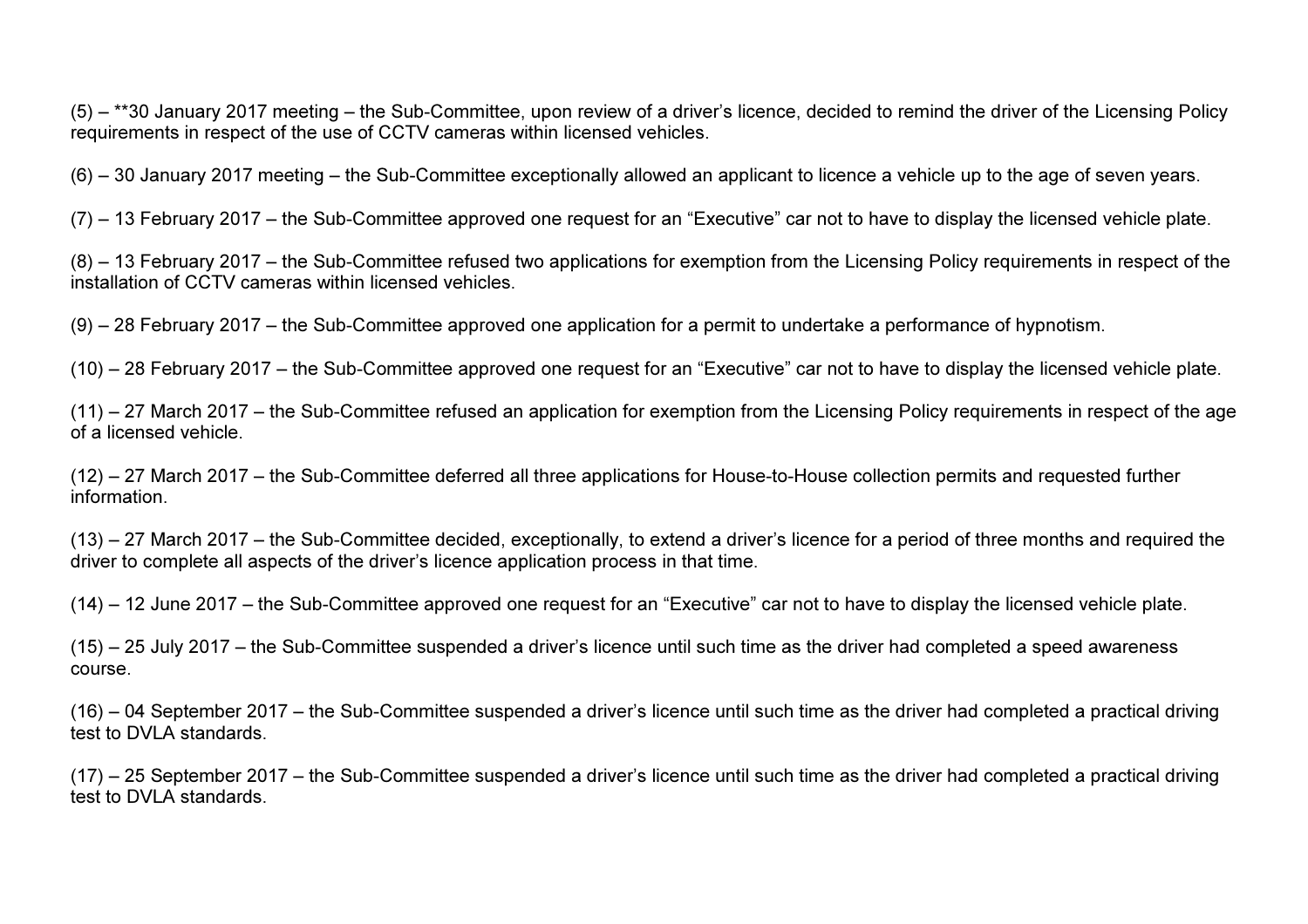(5) – \*\*30 January 2017 meeting – the Sub-Committee, upon review of a driver's licence, decided to remind the driver of the Licensing Policy requirements in respect of the use of CCTV cameras within licensed vehicles.

(6) – 30 January 2017 meeting – the Sub-Committee exceptionally allowed an applicant to licence a vehicle up to the age of seven years.

(7) – 13 February 2017 – the Sub-Committee approved one request for an "Executive" car not to have to display the licensed vehicle plate.

(8) – 13 February 2017 – the Sub-Committee refused two applications for exemption from the Licensing Policy requirements in respect of the installation of CCTV cameras within licensed vehicles.

(9) – 28 February 2017 – the Sub-Committee approved one application for a permit to undertake a performance of hypnotism.

(10) – 28 February 2017 – the Sub-Committee approved one request for an "Executive" car not to have to display the licensed vehicle plate.

(11) – 27 March 2017 – the Sub-Committee refused an application for exemption from the Licensing Policy requirements in respect of the age of a licensed vehicle.

(12) – 27 March 2017 – the Sub-Committee deferred all three applications for House-to-House collection permits and requested further information.

(13) – 27 March 2017 – the Sub-Committee decided, exceptionally, to extend a driver's licence for a period of three months and required the driver to complete all aspects of the driver's licence application process in that time.

(14) – 12 June 2017 – the Sub-Committee approved one request for an "Executive" car not to have to display the licensed vehicle plate.

(15) – 25 July 2017 – the Sub-Committee suspended a driver's licence until such time as the driver had completed a speed awareness course.

(16) – 04 September 2017 – the Sub-Committee suspended a driver's licence until such time as the driver had completed a practical driving test to DVLA standards.

(17) – 25 September 2017 – the Sub-Committee suspended a driver's licence until such time as the driver had completed a practical driving test to DVLA standards.